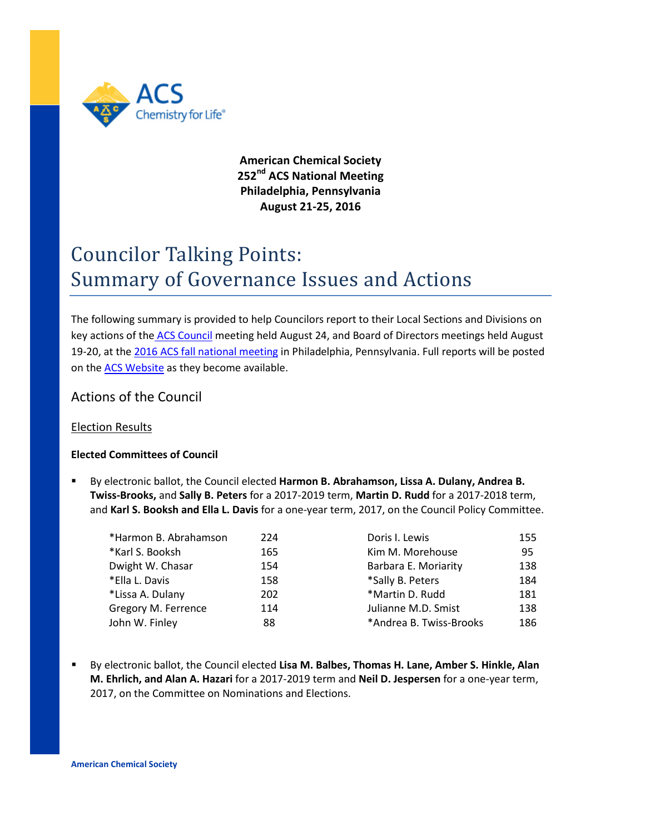

**American Chemical Society 252nd ACS National Meeting Philadelphia, Pennsylvania August 21-25, 2016**

# Councilor Talking Points: Summary of Governance Issues and Actions

The following summary is provided to help Councilors report to their Local Sections and Divisions on key actions of the [ACS Council](https://www.acs.org/content/dam/acsorg/about/governance/councilors/council-agenda-8-16%20(2).pdf) meeting held August 24, and Board of Directors meetings held August 19-20, at the 2016 ACS fall [national meeting](https://www.acs.org/content/acs/en/meetings/fall-2016.html) in Philadelphia, Pennsylvania. Full reports will be posted on the [ACS Website](https://www.acs.org/content/acs/en/about/governance/councilors/committee-reports-to-council-at-national-meetings.html) as they become available.

# Actions of the Council

## Election Results

## **Elected Committees of Council**

 By electronic ballot, the Council elected **Harmon B. Abrahamson, Lissa A. Dulany, Andrea B. Twiss-Brooks,** and **Sally B. Peters** for a 2017-2019 term, **Martin D. Rudd** for a 2017-2018 term, and **Karl S. Booksh and Ella L. Davis** for a one-year term, 2017, on the Council Policy Committee.

| *Harmon B. Abrahamson | 224 | Doris I. Lewis          | 155 |
|-----------------------|-----|-------------------------|-----|
| *Karl S. Booksh       | 165 | Kim M. Morehouse        | 95  |
| Dwight W. Chasar      | 154 | Barbara E. Moriarity    | 138 |
| *Ella L. Davis        | 158 | *Sally B. Peters        | 184 |
| *Lissa A. Dulany      | 202 | *Martin D. Rudd         | 181 |
| Gregory M. Ferrence   | 114 | Julianne M.D. Smist     | 138 |
| John W. Finley        | 88  | *Andrea B. Twiss-Brooks | 186 |

 By electronic ballot, the Council elected **Lisa M. Balbes, Thomas H. Lane, Amber S. Hinkle, Alan M. Ehrlich, and Alan A. Hazari** for a 2017-2019 term and **Neil D. Jespersen** for a one-year term, 2017, on the Committee on Nominations and Elections.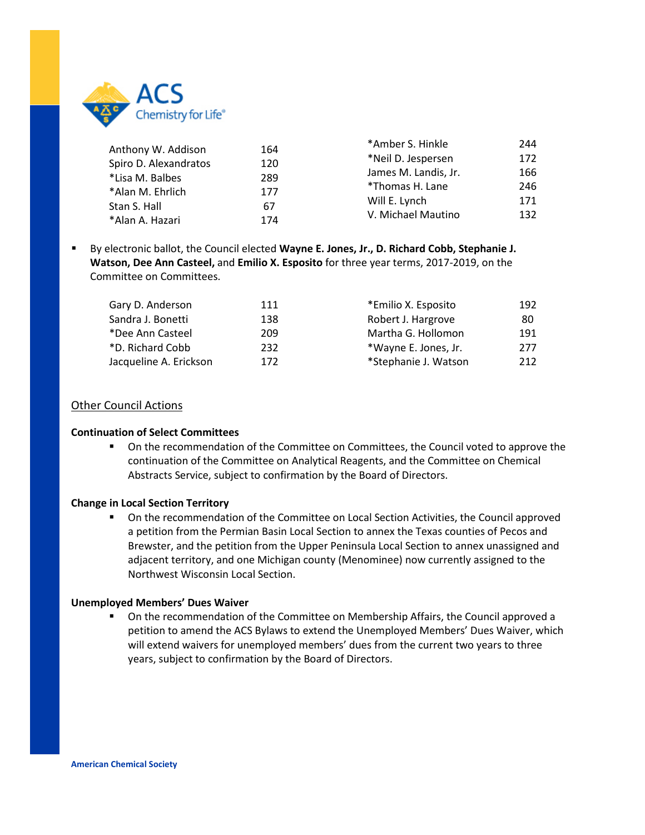

| Anthony W. Addison    | 164<br>120<br>289<br>177 | *Amber S. Hinkle     | 244 |
|-----------------------|--------------------------|----------------------|-----|
| Spiro D. Alexandratos |                          | *Neil D. Jespersen   | 172 |
| *Lisa M. Balbes       |                          | James M. Landis, Jr. | 166 |
| *Alan M. Ehrlich      |                          | *Thomas H. Lane      | 246 |
| Stan S. Hall          | 67                       | Will E. Lynch        | 171 |
| *Alan A. Hazari       | 174                      | V. Michael Mautino   | 132 |
|                       |                          |                      |     |

 By electronic ballot, the Council elected **Wayne E. Jones, Jr., D. Richard Cobb, Stephanie J. Watson, Dee Ann Casteel,** and **Emilio X. Esposito** for three year terms, 2017-2019, on the Committee on Committees.

| Gary D. Anderson       | 111 | *Emilio X. Esposito  | 192 |
|------------------------|-----|----------------------|-----|
| Sandra J. Bonetti      | 138 | Robert J. Hargrove   | 80  |
| *Dee Ann Casteel       | 209 | Martha G. Hollomon   | 191 |
| *D. Richard Cobb       | 232 | *Wayne E. Jones, Jr. | 277 |
| Jacqueline A. Erickson | 172 | *Stephanie J. Watson | 212 |

## Other Council Actions

#### **Continuation of Select Committees**

**• On the recommendation of the Committee on Committees, the Council voted to approve the** continuation of the Committee on Analytical Reagents, and the Committee on Chemical Abstracts Service, subject to confirmation by the Board of Directors.

#### **Change in Local Section Territory**

 On the recommendation of the Committee on Local Section Activities, the Council approved a petition from the Permian Basin Local Section to annex the Texas counties of Pecos and Brewster, and the petition from the Upper Peninsula Local Section to annex unassigned and adjacent territory, and one Michigan county (Menominee) now currently assigned to the Northwest Wisconsin Local Section.

#### **Unemployed Members' Dues Waiver**

 On the recommendation of the Committee on Membership Affairs, the Council approved a petition to amend the ACS Bylaws to extend the Unemployed Members' Dues Waiver, which will extend waivers for unemployed members' dues from the current two years to three years, subject to confirmation by the Board of Directors.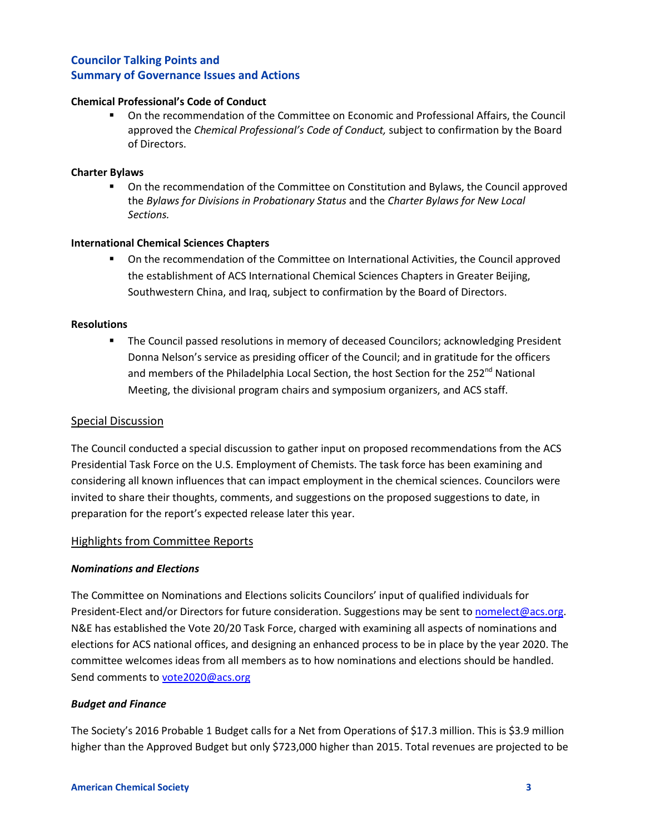#### **Chemical Professional's Code of Conduct**

 On the recommendation of the Committee on Economic and Professional Affairs, the Council approved the *Chemical Professional's Code of Conduct,* subject to confirmation by the Board of Directors.

#### **Charter Bylaws**

 On the recommendation of the Committee on Constitution and Bylaws, the Council approved the *Bylaws for Divisions in Probationary Status* and the *Charter Bylaws for New Local Sections.*

#### **International Chemical Sciences Chapters**

 On the recommendation of the Committee on International Activities, the Council approved the establishment of ACS International Chemical Sciences Chapters in Greater Beijing, Southwestern China, and Iraq, subject to confirmation by the Board of Directors.

#### **Resolutions**

 The Council passed resolutions in memory of deceased Councilors; acknowledging President Donna Nelson's service as presiding officer of the Council; and in gratitude for the officers and members of the Philadelphia Local Section, the host Section for the 252<sup>nd</sup> National Meeting, the divisional program chairs and symposium organizers, and ACS staff.

#### Special Discussion

The Council conducted a special discussion to gather input on proposed recommendations from the ACS Presidential Task Force on the U.S. Employment of Chemists. The task force has been examining and considering all known influences that can impact employment in the chemical sciences. Councilors were invited to share their thoughts, comments, and suggestions on the proposed suggestions to date, in preparation for the report's expected release later this year.

#### Highlights from Committee Reports

## *Nominations and Elections*

The Committee on Nominations and Elections solicits Councilors' input of qualified individuals for President-Elect and/or Directors for future consideration. Suggestions may be sent to [nomelect@acs.org.](mailto:nomelect@acs.org) N&E has established the Vote 20/20 Task Force, charged with examining all aspects of nominations and elections for ACS national offices, and designing an enhanced process to be in place by the year 2020. The committee welcomes ideas from all members as to how nominations and elections should be handled. Send comments to [vote2020@acs.org](mailto:vote2020@acs.org)

#### *Budget and Finance*

The Society's 2016 Probable 1 Budget calls for a Net from Operations of \$17.3 million. This is \$3.9 million higher than the Approved Budget but only \$723,000 higher than 2015. Total revenues are projected to be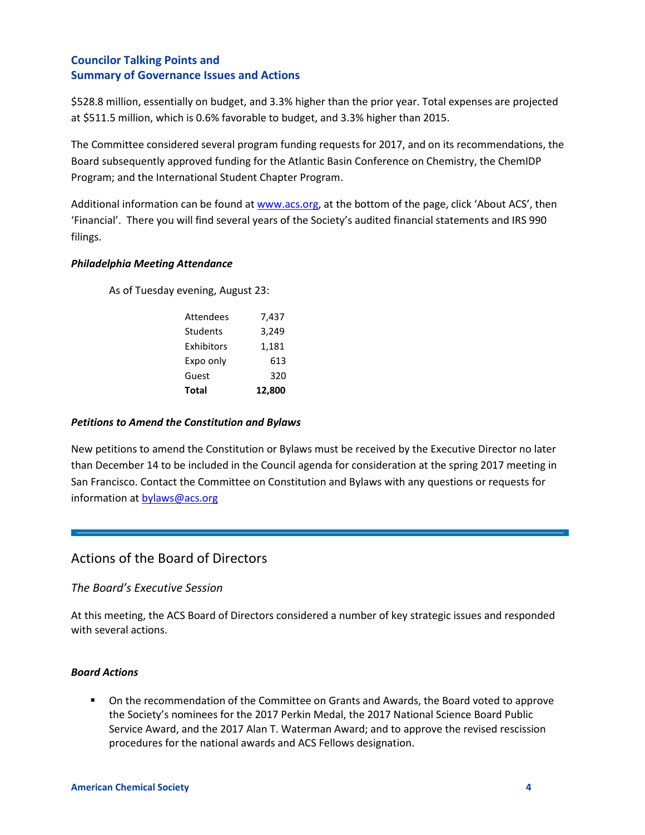\$528.8 million, essentially on budget, and 3.3% higher than the prior year. Total expenses are projected at \$511.5 million, which is 0.6% favorable to budget, and 3.3% higher than 2015.

The Committee considered several program funding requests for 2017, and on its recommendations, the Board subsequently approved funding for the Atlantic Basin Conference on Chemistry, the ChemIDP Program; and the International Student Chapter Program.

Additional information can be found at [www.acs.org,](http://www.acs.org/) at the bottom of the page, click 'About ACS', then 'Financial'. There you will find several years of the Society's audited financial statements and IRS 990 filings.

## *Philadelphia Meeting Attendance*

As of Tuesday evening, August 23:

| <b>Total</b>     | 12,800 |
|------------------|--------|
| Guest            | 320    |
| Expo only        | 613    |
| Exhibitors       | 1,181  |
| Students         | 3,249  |
| <b>Attendees</b> | 7,437  |

## *Petitions to Amend the Constitution and Bylaws*

New petitions to amend the Constitution or Bylaws must be received by the Executive Director no later than December 14 to be included in the Council agenda for consideration at the spring 2017 meeting in San Francisco. Contact the Committee on Constitution and Bylaws with any questions or requests for information a[t bylaws@acs.org](mailto:bylaws@acs.org)

# Actions of the Board of Directors

## *The Board's Executive Session*

At this meeting, the ACS Board of Directors considered a number of key strategic issues and responded with several actions.

## *Board Actions*

**De Con the recommendation of the Committee on Grants and Awards, the Board voted to approve** the Society's nominees for the 2017 Perkin Medal, the 2017 National Science Board Public Service Award, and the 2017 Alan T. Waterman Award; and to approve the revised rescission procedures for the national awards and ACS Fellows designation.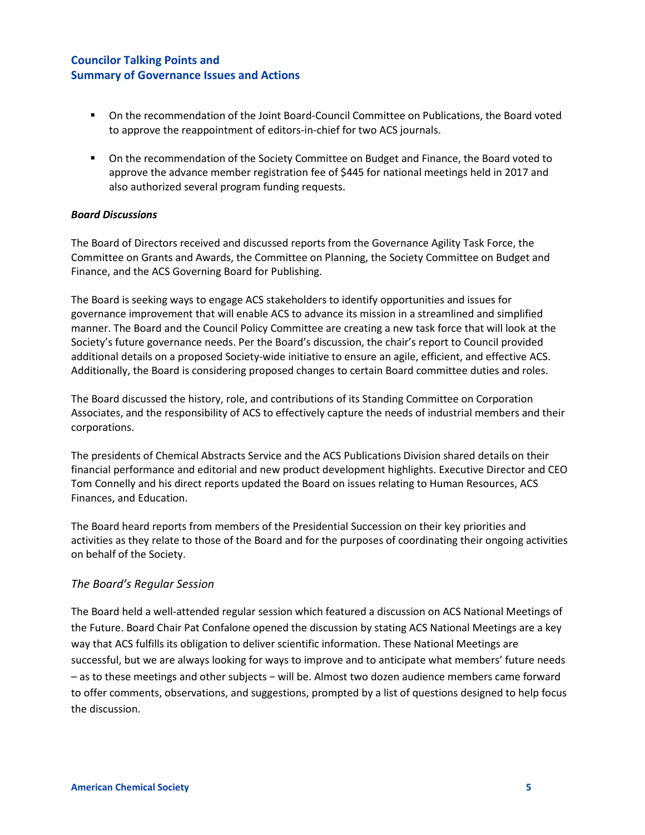- On the recommendation of the Joint Board-Council Committee on Publications, the Board voted to approve the reappointment of editors-in-chief for two ACS journals.
- On the recommendation of the Society Committee on Budget and Finance, the Board voted to approve the advance member registration fee of \$445 for national meetings held in 2017 and also authorized several program funding requests.

## *Board Discussions*

The Board of Directors received and discussed reports from the Governance Agility Task Force, the Committee on Grants and Awards, the Committee on Planning, the Society Committee on Budget and Finance, and the ACS Governing Board for Publishing.

The Board is seeking ways to engage ACS stakeholders to identify opportunities and issues for governance improvement that will enable ACS to advance its mission in a streamlined and simplified manner. The Board and the Council Policy Committee are creating a new task force that will look at the Society's future governance needs. Per the Board's discussion, the chair's report to Council provided additional details on a proposed Society-wide initiative to ensure an agile, efficient, and effective ACS. Additionally, the Board is considering proposed changes to certain Board committee duties and roles.

The Board discussed the history, role, and contributions of its Standing Committee on Corporation Associates, and the responsibility of ACS to effectively capture the needs of industrial members and their corporations.

The presidents of Chemical Abstracts Service and the ACS Publications Division shared details on their financial performance and editorial and new product development highlights. Executive Director and CEO Tom Connelly and his direct reports updated the Board on issues relating to Human Resources, ACS Finances, and Education.

The Board heard reports from members of the Presidential Succession on their key priorities and activities as they relate to those of the Board and for the purposes of coordinating their ongoing activities on behalf of the Society.

## *The Board's Regular Session*

The Board held a well-attended regular session which featured a discussion on ACS National Meetings of the Future. Board Chair Pat Confalone opened the discussion by stating ACS National Meetings are a key way that ACS fulfills its obligation to deliver scientific information. These National Meetings are successful, but we are always looking for ways to improve and to anticipate what members' future needs – as to these meetings and other subjects − will be. Almost two dozen audience members came forward to offer comments, observations, and suggestions, prompted by a list of questions designed to help focus the discussion.